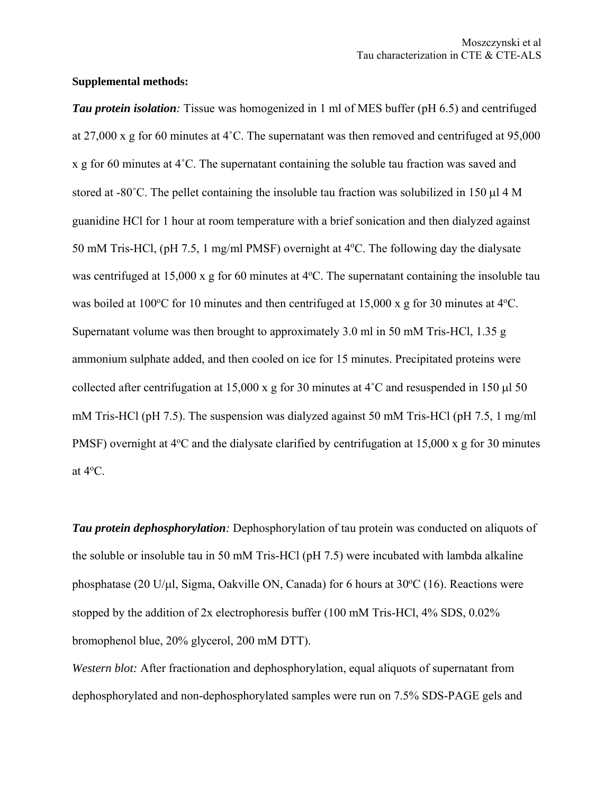## **Supplemental methods:**

*Tau protein isolation:* Tissue was homogenized in 1 ml of MES buffer (pH 6.5) and centrifuged at 27,000 x g for 60 minutes at 4˚C. The supernatant was then removed and centrifuged at 95,000 x g for 60 minutes at 4˚C. The supernatant containing the soluble tau fraction was saved and stored at -80 $^{\circ}$ C. The pellet containing the insoluble tau fraction was solubilized in 150  $\mu$ l 4 M guanidine HCl for 1 hour at room temperature with a brief sonication and then dialyzed against 50 mM Tris-HCl, (pH 7.5, 1 mg/ml PMSF) overnight at 4°C. The following day the dialysate was centrifuged at  $15,000 \times g$  for 60 minutes at  $4^{\circ}$ C. The supernatant containing the insoluble tau was boiled at 100 $\degree$ C for 10 minutes and then centrifuged at 15,000 x g for 30 minutes at 4 $\degree$ C. Supernatant volume was then brought to approximately 3.0 ml in 50 mM Tris-HCl, 1.35 g ammonium sulphate added, and then cooled on ice for 15 minutes. Precipitated proteins were collected after centrifugation at 15,000 x g for 30 minutes at  $4^{\circ}$ C and resuspended in 150  $\mu$  50 mM Tris-HCl (pH 7.5). The suspension was dialyzed against 50 mM Tris-HCl (pH 7.5, 1 mg/ml PMSF) overnight at 4°C and the dialysate clarified by centrifugation at 15,000 x g for 30 minutes at  $4^{\circ}$ C.

*Tau protein dephosphorylation:* Dephosphorylation of tau protein was conducted on aliquots of the soluble or insoluble tau in 50 mM Tris-HCl (pH 7.5) were incubated with lambda alkaline phosphatase (20 U/ $\mu$ l, Sigma, Oakville ON, Canada) for 6 hours at 30°C (16). Reactions were stopped by the addition of 2x electrophoresis buffer (100 mM Tris-HCl, 4% SDS, 0.02% bromophenol blue, 20% glycerol, 200 mM DTT).

*Western blot:* After fractionation and dephosphorylation, equal aliquots of supernatant from dephosphorylated and non-dephosphorylated samples were run on 7.5% SDS-PAGE gels and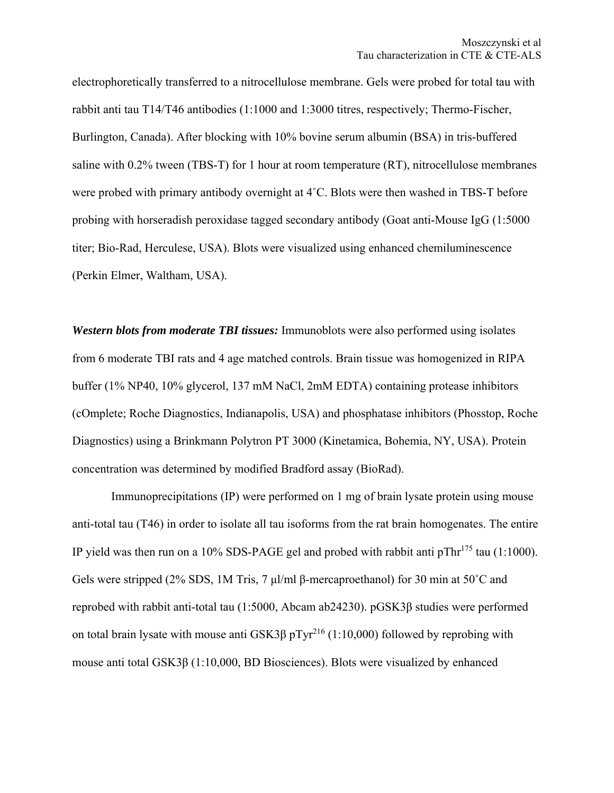electrophoretically transferred to a nitrocellulose membrane. Gels were probed for total tau with rabbit anti tau T14/T46 antibodies (1:1000 and 1:3000 titres, respectively; Thermo-Fischer, Burlington, Canada). After blocking with 10% bovine serum albumin (BSA) in tris-buffered saline with 0.2% tween (TBS-T) for 1 hour at room temperature (RT), nitrocellulose membranes were probed with primary antibody overnight at 4˚C. Blots were then washed in TBS-T before probing with horseradish peroxidase tagged secondary antibody (Goat anti-Mouse IgG (1:5000 titer; Bio-Rad, Herculese, USA). Blots were visualized using enhanced chemiluminescence (Perkin Elmer, Waltham, USA).

*Western blots from moderate TBI tissues:* Immunoblots were also performed using isolates from 6 moderate TBI rats and 4 age matched controls. Brain tissue was homogenized in RIPA buffer (1% NP40, 10% glycerol, 137 mM NaCl, 2mM EDTA) containing protease inhibitors (cOmplete; Roche Diagnostics, Indianapolis, USA) and phosphatase inhibitors (Phosstop, Roche Diagnostics) using a Brinkmann Polytron PT 3000 (Kinetamica, Bohemia, NY, USA). Protein concentration was determined by modified Bradford assay (BioRad).

 Immunoprecipitations (IP) were performed on 1 mg of brain lysate protein using mouse anti-total tau (T46) in order to isolate all tau isoforms from the rat brain homogenates. The entire IP yield was then run on a 10% SDS-PAGE gel and probed with rabbit anti  $pThr^{175}$  tau (1:1000). Gels were stripped (2% SDS, 1M Tris, 7 μl/ml β-mercaproethanol) for 30 min at 50˚C and reprobed with rabbit anti-total tau (1:5000, Abcam ab24230). pGSK3β studies were performed on total brain lysate with mouse anti GSK3 $\beta$  pTyr<sup>216</sup> (1:10,000) followed by reprobing with mouse anti total GSK3β (1:10,000, BD Biosciences). Blots were visualized by enhanced